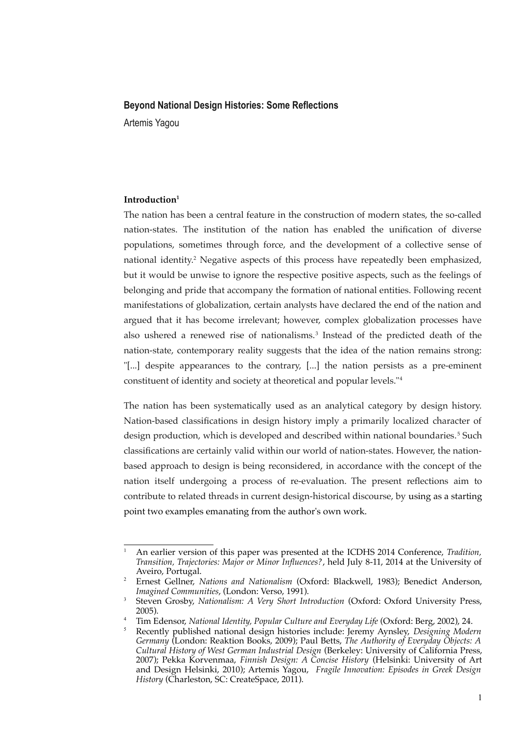#### **Beyond National Design Histories: Some Reflections**

Artemis Yagou

## **Introduction[1](#page-0-0)**

The nation has been a central feature in the construction of modern states, the so-called nation-states. The institution of the nation has enabled the unifcation of diverse populations, sometimes through force, and the development of a collective sense of national identity.[2](#page-0-1) Negative aspects of this process have repeatedly been emphasized, but it would be unwise to ignore the respective positive aspects, such as the feelings of belonging and pride that accompany the formation of national entities. Following recent manifestations of globalization, certain analysts have declared the end of the nation and argued that it has become irrelevant; however, complex globalization processes have also ushered a renewed rise of nationalisms.<sup>[3](#page-0-2)</sup> Instead of the predicted death of the nation-state, contemporary reality suggests that the idea of the nation remains strong: "[...] despite appearances to the contrary, [...] the nation persists as a pre-eminent constituent of identity and society at theoretical and popular levels."[4](#page-0-3)

The nation has been systematically used as an analytical category by design history. Nation-based classifcations in design history imply a primarily localized character of design production, which is developed and described within national boundaries.<sup>[5](#page-0-4)</sup> Such classifcations are certainly valid within our world of nation-states. However, the nationbased approach to design is being reconsidered, in accordance with the concept of the nation itself undergoing a process of re-evaluation. The present refections aim to contribute to related threads in current design-historical discourse, by using as a starting point two examples emanating from the author's own work.

<span id="page-0-0"></span><sup>1</sup> An earlier version of this paper was presented at the ICDHS 2014 Conference, *Tradition, Transition, Trajectories: Major or Minor Infuences?*, held July 8-11, 2014 at the University of Aveiro, Portugal.

<span id="page-0-1"></span><sup>2</sup> Ernest Gellner, *Nations and Nationalism* (Oxford: Blackwell, 1983); Benedict Anderson, *Imagined Communities*, (London: Verso, 1991).

<span id="page-0-2"></span><sup>3</sup> Steven Grosby, *Nationalism: A Very Short Introduction* (Oxford: Oxford University Press, 2005).

<span id="page-0-3"></span><sup>4</sup> Tim Edensor, *National Identity, Popular Culture and Everyday Life* (Oxford: Berg, 2002), 24.

<span id="page-0-4"></span><sup>5</sup> Recently published national design histories include: Jeremy Aynsley, *Designing Modern Germany* (London: Reaktion Books, 2009); Paul Betts, *The Authority of Everyday Objects: A Cultural History of West German Industrial Design* (Berkeley: University of California Press, 2007); Pekka Korvenmaa, *Finnish Design: A Concise History* (Helsinki: University of Art and Design Helsinki, 2010); Artemis Yagou, *Fragile Innovation: Episodes in Greek Design History* (Charleston, SC: CreateSpace, 2011).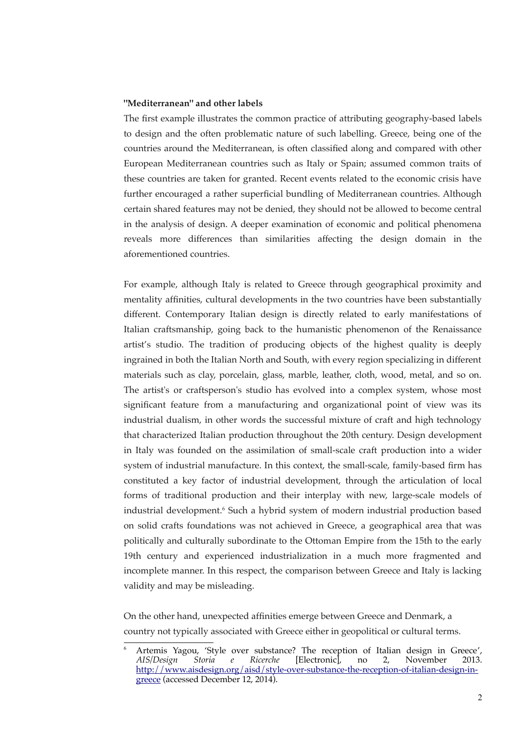# **"Mediterranean" and other labels**

The first example illustrates the common practice of attributing geography-based labels to design and the often problematic nature of such labelling. Greece, being one of the countries around the Mediterranean, is often classifed along and compared with other European Mediterranean countries such as Italy or Spain; assumed common traits of these countries are taken for granted. Recent events related to the economic crisis have further encouraged a rather superficial bundling of Mediterranean countries. Although certain shared features may not be denied, they should not be allowed to become central in the analysis of design. A deeper examination of economic and political phenomena reveals more differences than similarities affecting the design domain in the aforementioned countries.

For example, although Italy is related to Greece through geographical proximity and mentality affnities, cultural developments in the two countries have been substantially different. Contemporary Italian design is directly related to early manifestations of Italian craftsmanship, going back to the humanistic phenomenon of the Renaissance artist's studio. The tradition of producing objects of the highest quality is deeply ingrained in both the Italian North and South, with every region specializing in different materials such as clay, porcelain, glass, marble, leather, cloth, wood, metal, and so on. The artist's or craftsperson's studio has evolved into a complex system, whose most signifcant feature from a manufacturing and organizational point of view was its industrial dualism, in other words the successful mixture of craft and high technology that characterized Italian production throughout the 20th century. Design development in Italy was founded on the assimilation of small-scale craft production into a wider system of industrial manufacture. In this context, the small-scale, family-based frm has constituted a key factor of industrial development, through the articulation of local forms of traditional production and their interplay with new, large-scale models of industrial development.<sup>[6](#page-1-0)</sup> Such a hybrid system of modern industrial production based on solid crafts foundations was not achieved in Greece, a geographical area that was politically and culturally subordinate to the Ottoman Empire from the 15th to the early 19th century and experienced industrialization in a much more fragmented and incomplete manner. In this respect, the comparison between Greece and Italy is lacking validity and may be misleading.

On the other hand, unexpected affnities emerge between Greece and Denmark, a country not typically associated with Greece either in geopolitical or cultural terms.

<span id="page-1-0"></span><sup>&</sup>lt;sup>6</sup> Artemis Yagou, 'Style over substance? The reception of Italian design in Greece', *AIS/Design Storia e Ricerche* [Electronic], no 2, November 2013. http://www.aisdesign.org/aisd/style-over-substance-the-reception-of-italian-design-ingreece (accessed December 12, 2014).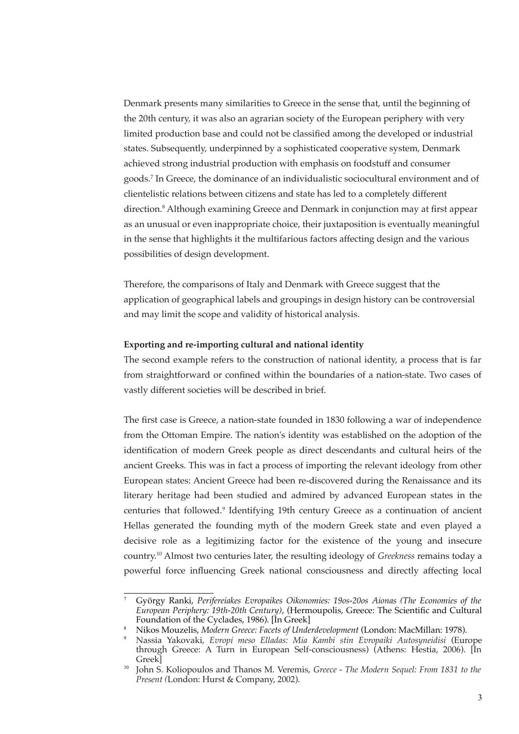Denmark presents many similarities to Greece in the sense that, until the beginning of the 20th century, it was also an agrarian society of the European periphery with very limited production base and could not be classifed among the developed or industrial states. Subsequently, underpinned by a sophisticated cooperative system, Denmark achieved strong industrial production with emphasis on foodstuff and consumer goods.[7](#page-2-0) In Greece, the dominance of an individualistic sociocultural environment and of clientelistic relations between citizens and state has led to a completely different direction.<sup>[8](#page-2-1)</sup> Although examining Greece and Denmark in conjunction may at first appear as an unusual or even inappropriate choice, their juxtaposition is eventually meaningful in the sense that highlights it the multifarious factors affecting design and the various possibilities of design development.

Therefore, the comparisons of Italy and Denmark with Greece suggest that the application of geographical labels and groupings in design history can be controversial and may limit the scope and validity of historical analysis.

## **Exporting and re-importing cultural and national identity**

The second example refers to the construction of national identity, a process that is far from straightforward or confned within the boundaries of a nation-state. Two cases of vastly different societies will be described in brief.

The frst case is Greece, a nation-state founded in 1830 following a war of independence from the Ottoman Empire. The nation's identity was established on the adoption of the identifcation of modern Greek people as direct descendants and cultural heirs of the ancient Greeks. This was in fact a process of importing the relevant ideology from other European states: Ancient Greece had been re-discovered during the Renaissance and its literary heritage had been studied and admired by advanced European states in the centuries that followed.<sup>[9](#page-2-2)</sup> Identifying 19th century Greece as a continuation of ancient Hellas generated the founding myth of the modern Greek state and even played a decisive role as a legitimizing factor for the existence of the young and insecure country.[10](#page-2-3) Almost two centuries later, the resulting ideology of *Greekness* remains today a powerful force infuencing Greek national consciousness and directly affecting local

<span id="page-2-0"></span><sup>7</sup> György Ranki, *Perifereiakes Evropaikes Oikonomies: 19os-20os Aionas (The Economies of the European Periphery: 19th-20th Century)*, (Hermoupolis, Greece: The Scientifc and Cultural Foundation of the Cyclades, 1986). [In Greek]

<span id="page-2-1"></span><sup>8</sup> Nikos Mouzelis, *Modern Greece: Facets of Underdevelopment* (London: MacMillan: 1978).

<span id="page-2-2"></span><sup>9</sup> Nassia Yakovaki, *Evropi meso Elladas: Mia Kambi stin Evropaiki Autosyneidisi* (Europe through Greece: A Turn in European Self-consciousness) (Athens: Hestia, 2006). [In Greek]

<span id="page-2-3"></span><sup>10</sup> John S. Koliopoulos and Thanos M. Veremis, *Greece - The Modern Sequel: From 1831 to the Present (*London: Hurst & Company, 2002).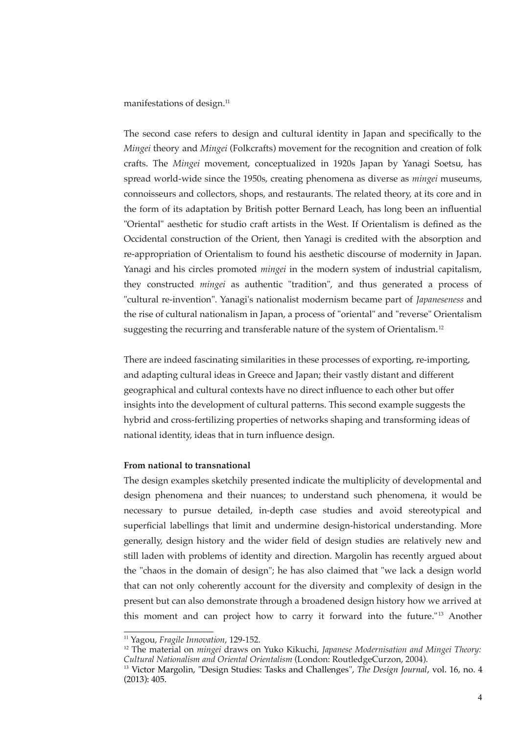manifestations of design.<sup>[11](#page-3-0)</sup>

The second case refers to design and cultural identity in Japan and specifcally to the *Mingei* theory and *Mingei* (Folkcrafts) movement for the recognition and creation of folk crafts. The *Mingei* movement, conceptualized in 1920s Japan by Yanagi Soetsu, has spread world-wide since the 1950s, creating phenomena as diverse as *mingei* museums, connoisseurs and collectors, shops, and restaurants. The related theory, at its core and in the form of its adaptation by British potter Bernard Leach, has long been an infuential "Oriental" aesthetic for studio craft artists in the West. If Orientalism is defned as the Occidental construction of the Orient, then Yanagi is credited with the absorption and re-appropriation of Orientalism to found his aesthetic discourse of modernity in Japan. Yanagi and his circles promoted *mingei* in the modern system of industrial capitalism, they constructed *mingei* as authentic "tradition", and thus generated a process of "cultural re-invention". Yanagi's nationalist modernism became part of *Japaneseness* and the rise of cultural nationalism in Japan, a process of "oriental" and "reverse" Orientalism suggesting the recurring and transferable nature of the system of Orientalism.<sup>[12](#page-3-1)</sup>

There are indeed fascinating similarities in these processes of exporting, re-importing, and adapting cultural ideas in Greece and Japan; their vastly distant and different geographical and cultural contexts have no direct infuence to each other but offer insights into the development of cultural patterns. This second example suggests the hybrid and cross-fertilizing properties of networks shaping and transforming ideas of national identity, ideas that in turn infuence design.

# **From national to transnational**

The design examples sketchily presented indicate the multiplicity of developmental and design phenomena and their nuances; to understand such phenomena, it would be necessary to pursue detailed, in-depth case studies and avoid stereotypical and superficial labellings that limit and undermine design-historical understanding. More generally, design history and the wider feld of design studies are relatively new and still laden with problems of identity and direction. Margolin has recently argued about the "chaos in the domain of design"; he has also claimed that "we lack a design world that can not only coherently account for the diversity and complexity of design in the present but can also demonstrate through a broadened design history how we arrived at this moment and can project how to carry it forward into the future."<sup>[13](#page-3-2)</sup> Another

<span id="page-3-0"></span><sup>11</sup> Yagou, *Fragile Innovation*, 129-152.

<span id="page-3-1"></span><sup>12</sup> The material on *mingei* draws on Yuko Kikuchi, *Japanese Modernisation and Mingei Theory: Cultural Nationalism and Oriental Orientalism* (London: RoutledgeCurzon, 2004).

<span id="page-3-2"></span><sup>13</sup> Victor Margolin, "Design Studies: Tasks and Challenges", *The Design Journal*, vol. 16, no. 4 (2013): 405.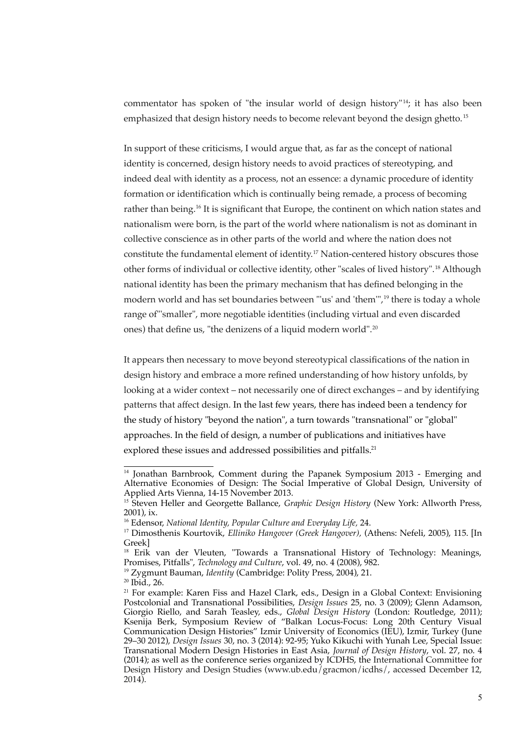commentator has spoken of "the insular world of design history"<sup>[14](#page-4-0)</sup>; it has also been emphasized that design history needs to become relevant beyond the design ghetto. [15](#page-4-1)

In support of these criticisms, I would argue that, as far as the concept of national identity is concerned, design history needs to avoid practices of stereotyping, and indeed deal with identity as a process, not an essence: a dynamic procedure of identity formation or identifcation which is continually being remade, a process of becoming rather than being.<sup>[16](#page-4-2)</sup> It is significant that Europe, the continent on which nation states and nationalism were born, is the part of the world where nationalism is not as dominant in collective conscience as in other parts of the world and where the nation does not constitute the fundamental element of identity.[17](#page-4-3) Nation-centered history obscures those other forms of individual or collective identity, other "scales of lived history".[18](#page-4-4) Although national identity has been the primary mechanism that has defned belonging in the modern world and has set boundaries between "'us' and 'them'",[19](#page-4-5) there is today a whole range of"'smaller", more negotiable identities (including virtual and even discarded ones) that define us, "the denizens of a liquid modern world".<sup>[20](#page-4-6)</sup>

It appears then necessary to move beyond stereotypical classifcations of the nation in design history and embrace a more refned understanding of how history unfolds, by looking at a wider context – not necessarily one of direct exchanges – and by identifying patterns that affect design. In the last few years, there has indeed been a tendency for the study of history "beyond the nation", a turn towards "transnational" or "global" approaches. In the feld of design, a number of publications and initiatives have explored these issues and addressed possibilities and pitfalls.<sup>[21](#page-4-7)</sup>

<span id="page-4-0"></span><sup>&</sup>lt;sup>14</sup> Jonathan Barnbrook, Comment during the Papanek Symposium 2013 - Emerging and Alternative Economies of Design: The Social Imperative of Global Design, University of Applied Arts Vienna, 14-15 November 2013.

<span id="page-4-1"></span><sup>&</sup>lt;sup>15</sup> Steven Heller and Georgette Ballance, *Graphic Design History* (New York: Allworth Press, 2001), ix.

<span id="page-4-2"></span><sup>16</sup> Edensor, *National Identity, Popular Culture and Everyday Life,* 24.

<span id="page-4-3"></span><sup>17</sup> Dimosthenis Kourtovik, *Elliniko Hangover (Greek Hangover),* (Athens: Nefeli, 2005), 115. [In Greek]

<span id="page-4-4"></span><sup>&</sup>lt;sup>18</sup> Erik van der Vleuten, "Towards a Transnational History of Technology: Meanings, Promises, Pitfalls", *Technology and Culture*, vol. 49, no. 4 (2008), 982.

<span id="page-4-5"></span><sup>19</sup> Zygmunt Bauman, *Identity* (Cambridge: Polity Press, 2004), 21.

<span id="page-4-6"></span><sup>20</sup> Ibid., 26.

<span id="page-4-7"></span><sup>&</sup>lt;sup>21</sup> For example: Karen Fiss and Hazel Clark, eds., Design in a Global Context: Envisioning Postcolonial and Transnational Possibilities, *Design Issues* 25, no. 3 (2009); Glenn Adamson, Giorgio Riello, and Sarah Teasley, eds., *Global Design History* (London: Routledge, 2011); Ksenija Berk, Symposium Review of "Balkan Locus-Focus: Long 20th Century Visual Communication Design Histories" Izmir University of Economics (IEU), Izmir, Turkey (June 29–30 2012), *Design Issues* 30, no. 3 (2014): 92-95; Yuko Kikuchi with Yunah Lee, Special Issue: Transnational Modern Design Histories in East Asia, *Journal of Design History*, vol. 27, no. 4 (2014); as well as the conference series organized by ICDHS, the International Committee for Design History and Design Studies (www.ub.edu/gracmon/icdhs/, accessed December 12, 2014).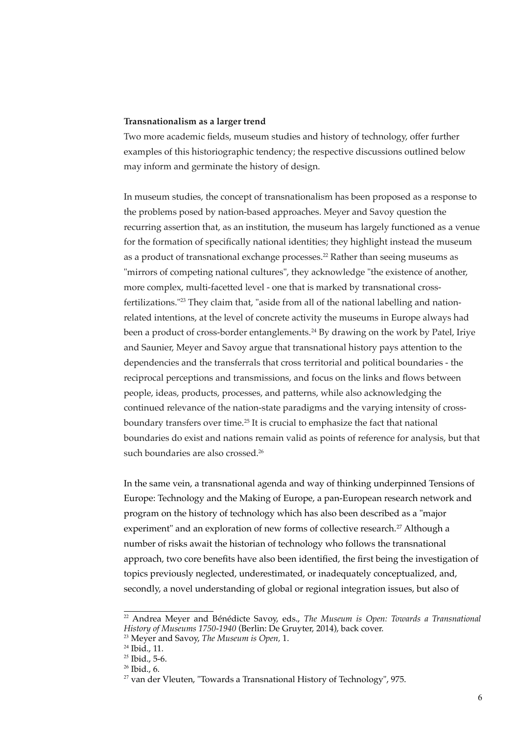## **Transnationalism as a larger trend**

Two more academic felds, museum studies and history of technology, offer further examples of this historiographic tendency; the respective discussions outlined below may inform and germinate the history of design.

In museum studies, the concept of transnationalism has been proposed as a response to the problems posed by nation-based approaches. Meyer and Savoy question the recurring assertion that, as an institution, the museum has largely functioned as a venue for the formation of specifcally national identities; they highlight instead the museum as a product of transnational exchange processes.[22](#page-5-0) Rather than seeing museums as "mirrors of competing national cultures", they acknowledge "the existence of another, more complex, multi-facetted level - one that is marked by transnational crossfertilizations."[23](#page-5-1) They claim that, "aside from all of the national labelling and nationrelated intentions, at the level of concrete activity the museums in Europe always had been a product of cross-border entanglements.<sup>[24](#page-5-2)</sup> By drawing on the work by Patel, Iriye and Saunier, Meyer and Savoy argue that transnational history pays attention to the dependencies and the transferrals that cross territorial and political boundaries - the reciprocal perceptions and transmissions, and focus on the links and fows between people, ideas, products, processes, and patterns, while also acknowledging the continued relevance of the nation-state paradigms and the varying intensity of cross-boundary transfers over time.<sup>[25](#page-5-3)</sup> It is crucial to emphasize the fact that national boundaries do exist and nations remain valid as points of reference for analysis, but that such boundaries are also crossed.<sup>[26](#page-5-4)</sup>

In the same vein, a transnational agenda and way of thinking underpinned Tensions of Europe: Technology and the Making of Europe, a pan-European research network and program on the history of technology which has also been described as a "major experiment" and an exploration of new forms of collective research.<sup>[27](#page-5-5)</sup> Although a number of risks await the historian of technology who follows the transnational approach, two core benefits have also been identified, the first being the investigation of topics previously neglected, underestimated, or inadequately conceptualized, and, secondly, a novel understanding of global or regional integration issues, but also of

<span id="page-5-0"></span><sup>22</sup> Andrea Meyer and Bénédicte Savoy, eds., *The Museum is Open: Towards a Transnational History of Museums 1750-1940* (Berlin: De Gruyter, 2014), back cover.

<span id="page-5-1"></span><sup>23</sup> Meyer and Savoy, *The Museum is Open,* 1.

<span id="page-5-2"></span><sup>&</sup>lt;sup>24</sup> Ibid., 11.

<span id="page-5-3"></span><sup>25</sup> Ibid., 5-6.

<span id="page-5-4"></span> $26$  Ibid., 6.

<span id="page-5-5"></span><sup>&</sup>lt;sup>27</sup> van der Vleuten, "Towards a Transnational History of Technology", 975.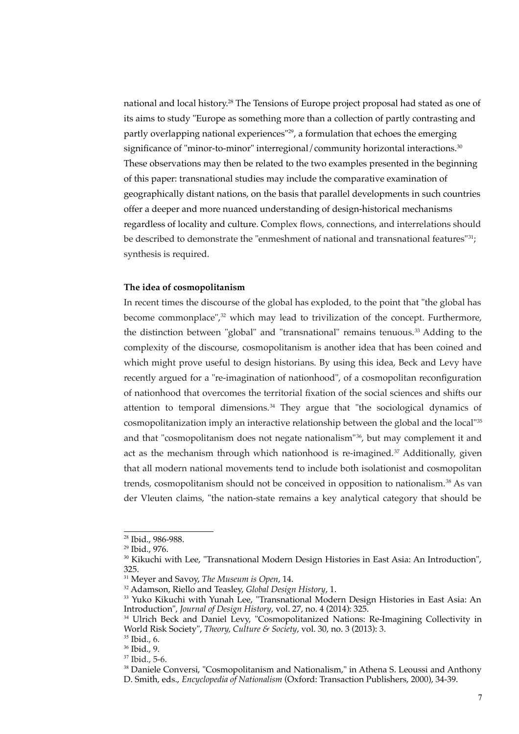national and local history.[28](#page-6-0) The Tensions of Europe project proposal had stated as one of its aims to study "Europe as something more than a collection of partly contrasting and partly overlapping national experiences"<sup>[29](#page-6-1)</sup>, a formulation that echoes the emerging significance of "minor-to-minor" interregional/community horizontal interactions.<sup>[30](#page-6-2)</sup> These observations may then be related to the two examples presented in the beginning of this paper: transnational studies may include the comparative examination of geographically distant nations, on the basis that parallel developments in such countries offer a deeper and more nuanced understanding of design-historical mechanisms regardless of locality and culture. Complex flows, connections, and interrelations should be described to demonstrate the "enmeshment of national and transnational features"<sup>[31](#page-6-3)</sup>; synthesis is required.

## **The idea of cosmopolitanism**

In recent times the discourse of the global has exploded, to the point that "the global has become commonplace", $32$  which may lead to trivilization of the concept. Furthermore, the distinction between "global" and "transnational" remains tenuous.<sup>[33](#page-6-5)</sup> Adding to the complexity of the discourse, cosmopolitanism is another idea that has been coined and which might prove useful to design historians. By using this idea, Beck and Levy have recently argued for a "re-imagination of nationhood", of a cosmopolitan reconfiguration of nationhood that overcomes the territorial fxation of the social sciences and shifts our attention to temporal dimensions. $34$  They argue that "the sociological dynamics of cosmopolitanization imply an interactive relationship between the global and the local"[35](#page-6-7) and that "cosmopolitanism does not negate nationalism"[36](#page-6-8), but may complement it and act as the mechanism through which nationhood is re-imagined.<sup>[37](#page-6-9)</sup> Additionally, given that all modern national movements tend to include both isolationist and cosmopolitan trends, cosmopolitanism should not be conceived in opposition to nationalism.<sup>[38](#page-6-10)</sup> As van der Vleuten claims, "the nation-state remains a key analytical category that should be

<span id="page-6-0"></span><sup>28</sup> Ibid., 986-988.

<span id="page-6-1"></span><sup>29</sup> Ibid., 976.

<span id="page-6-2"></span><sup>&</sup>lt;sup>30</sup> Kikuchi with Lee, "Transnational Modern Design Histories in East Asia: An Introduction", 325.

<span id="page-6-3"></span><sup>31</sup> Meyer and Savoy, *The Museum is Open*, 14.

<span id="page-6-4"></span><sup>32</sup> Adamson, Riello and Teasley, *Global Design History*, 1.

<span id="page-6-5"></span><sup>&</sup>lt;sup>33</sup> Yuko Kikuchi with Yunah Lee, "Transnational Modern Design Histories in East Asia: An Introduction", *Journal of Design History*, vol. 27, no. 4 (2014): 325.

<span id="page-6-6"></span><sup>&</sup>lt;sup>34</sup> Ulrich Beck and Daniel Levy, "Cosmopolitanized Nations: Re-Imagining Collectivity in World Risk Society", *Theory, Culture & Society*, vol. 30, no. 3 (2013): 3.

<span id="page-6-7"></span><sup>35</sup> Ibid., 6.

<span id="page-6-8"></span><sup>36</sup> Ibid., 9.

<span id="page-6-9"></span><sup>37</sup> Ibid., 5-6.

<span id="page-6-10"></span><sup>&</sup>lt;sup>38</sup> Daniele Conversi, "Cosmopolitanism and Nationalism," in Athena S. Leoussi and Anthony D. Smith, eds., *Encyclopedia of Nationalism* (Oxford: Transaction Publishers, 2000), 34-39.